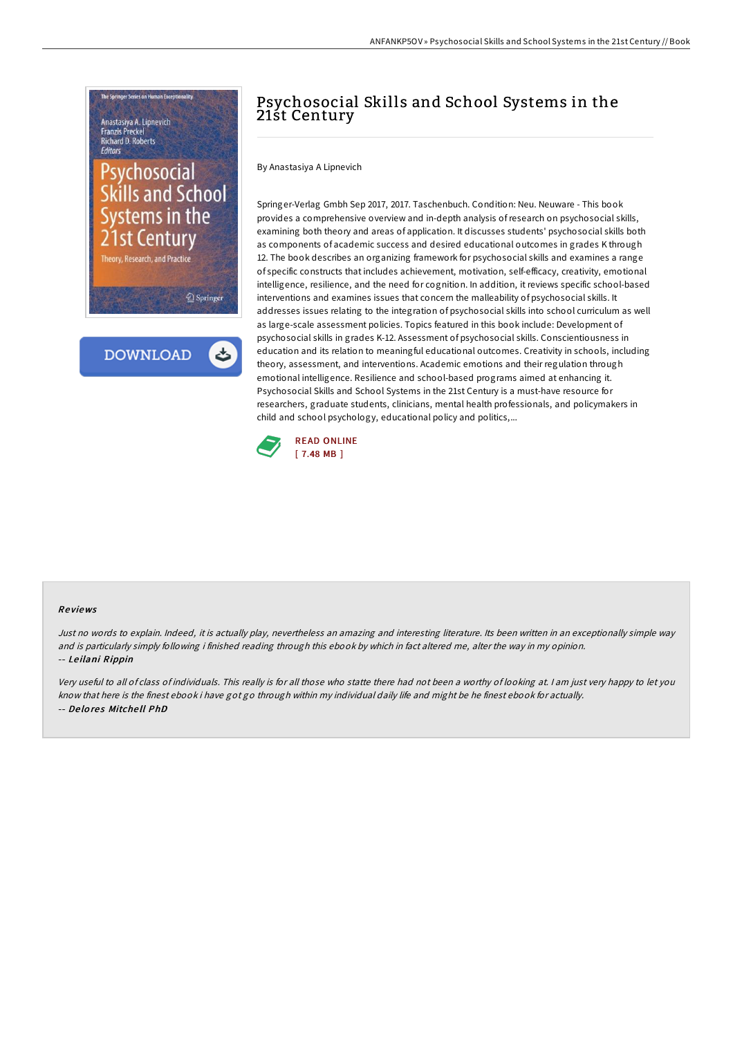

Springer



# Psychosocial Skills and School Systems in the 21st Century

By Anastasiya A Lipnevich

Springer-Verlag Gmbh Sep 2017, 2017. Taschenbuch. Condition: Neu. Neuware - This book provides a comprehensive overview and in-depth analysis ofresearch on psychosocial skills, examining both theory and areas of application. It discusses students' psychosocial skills both as components of academic success and desired educational outcomes in grades K through 12. The book describes an organizing framework for psychosocial skills and examines a range of specific constructs that includes achievement, motivation, self-efficacy, creativity, emotional intelligence, resilience, and the need for cognition. In addition, it reviews specific school-based interventions and examines issues that concern the malleability of psychosocial skills. It addresses issues relating to the integration of psychosocial skills into school curriculum as well as large-scale assessment policies. Topics featured in this book include: Development of psychosocial skills in grades K-12. Assessment of psychosocial skills. Conscientiousness in education and its relation to meaningful educational outcomes. Creativity in schools, including theory, assessment, and interventions. Academic emotions and their regulation through emotional intelligence. Resilience and school-based programs aimed at enhancing it. Psychosocial Skills and School Systems in the 21st Century is a must-have resource for researchers, graduate students, clinicians, mental health professionals, and policymakers in child and school psychology, educational policy and politics,...



#### Re views

Just no words to explain. Indeed, it is actually play, nevertheless an amazing and interesting literature. Its been written in an exceptionally simple way and is particularly simply following i finished reading through this ebook by which in fact altered me, alter the way in my opinion. -- Le ilani Rippin

Very useful to all of class of individuals. This really is for all those who statte there had not been <sup>a</sup> worthy of looking at. <sup>I</sup> am just very happy to let you know that here is the finest ebook i have got go through within my individual daily life and might be he finest ebook for actually. -- De lo re s Mitche ll PhD